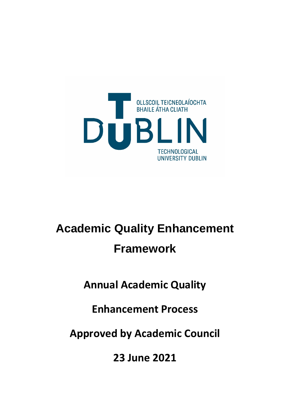

# **Academic Quality Enhancement Framework**

**Annual Academic Quality** 

**Enhancement Process**

**Approved by Academic Council**

**23 June 2021**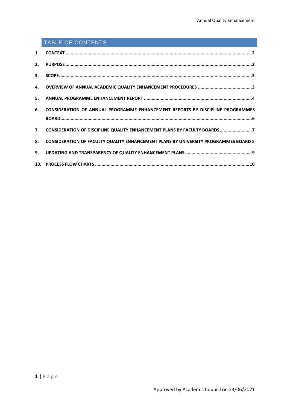# TABLE OF CONTENTS

| 6. CONSIDERATION OF ANNUAL PROGRAMME ENHANCEMENT REPORTS BY DISCIPLINE PROGRAMMES      |
|----------------------------------------------------------------------------------------|
|                                                                                        |
| 7. CONSIDERATION OF DISCIPLINE QUALITY ENHANCEMENT PLANS BY FACULTY BOARDS7            |
| 8. CONSIDERATION OF FACULTY QUALITY ENHANCEMENT PLANS BY UNIVERSITY PROGRAMMES BOARD 8 |
|                                                                                        |
|                                                                                        |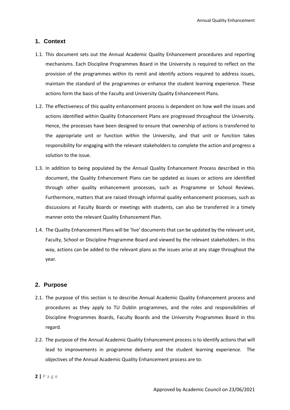# <span id="page-2-0"></span>**1. Context**

- 1.1. This document sets out the Annual Academic Quality Enhancement procedures and reporting mechanisms. Each Discipline Programmes Board in the University is required to reflect on the provision of the programmes within its remit and identify actions required to address issues, maintain the standard of the programmes or enhance the student learning experience. These actions form the basis of the Faculty and University Quality Enhancement Plans.
- 1.2. The effectiveness of this quality enhancement process is dependent on how well the issues and actions identified within Quality Enhancement Plans are progressed throughout the University. Hence, the processes have been designed to ensure that ownership of actions is transferred to the appropriate unit or function within the University, and that unit or function takes responsibility for engaging with the relevant stakeholders to complete the action and progress a solution to the issue.
- 1.3. In addition to being populated by the Annual Quality Enhancement Process described in this document, the Quality Enhancement Plans can be updated as issues or actions are identified through other quality enhancement processes, such as Programme or School Reviews. Furthermore, matters that are raised through informal quality enhancement processes, such as discussions at Faculty Boards or meetings with students, can also be transferred in a timely manner onto the relevant Quality Enhancement Plan.
- 1.4. The Quality Enhancement Plans will be 'live' documents that can be updated by the relevant unit, Faculty, School or Discipline Programme Board and viewed by the relevant stakeholders. In this way, actions can be added to the relevant plans as the issues arise at any stage throughout the year.

# <span id="page-2-1"></span>**2. Purpose**

- 2.1. The purpose of this section is to describe Annual Academic Quality Enhancement process and procedures as they apply to TU Dublin programmes, and the roles and responsibilities of Discipline Programmes Boards, Faculty Boards and the University Programmes Board in this regard.
- 2.2. The purpose of the Annual Academic Quality Enhancement process is to identify actions that will lead to improvements in programme delivery and the student learning experience. The objectives of the Annual Academic Quality Enhancement process are to:
- **2 |** Page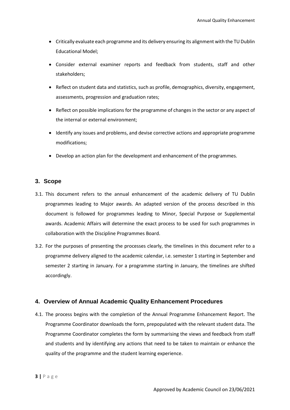- Critically evaluate each programme and its delivery ensuring its alignment with the TU Dublin Educational Model;
- Consider external examiner reports and feedback from students, staff and other stakeholders;
- Reflect on student data and statistics, such as profile, demographics, diversity, engagement, assessments, progression and graduation rates;
- Reflect on possible implications for the programme of changes in the sector or any aspect of the internal or external environment;
- Identify any issues and problems, and devise corrective actions and appropriate programme modifications;
- Develop an action plan for the development and enhancement of the programmes.

# <span id="page-3-0"></span>**3. Scope**

- 3.1. This document refers to the annual enhancement of the academic delivery of TU Dublin programmes leading to Major awards. An adapted version of the process described in this document is followed for programmes leading to Minor, Special Purpose or Supplemental awards. Academic Affairs will determine the exact process to be used for such programmes in collaboration with the Discipline Programmes Board.
- 3.2. For the purposes of presenting the processes clearly, the timelines in this document refer to a programme delivery aligned to the academic calendar, i.e. semester 1 starting in September and semester 2 starting in January. For a programme starting in January, the timelines are shifted accordingly.

#### <span id="page-3-1"></span>**4. Overview of Annual Academic Quality Enhancement Procedures**

4.1. The process begins with the completion of the Annual Programme Enhancement Report. The Programme Coordinator downloads the form, prepopulated with the relevant student data. The Programme Coordinator completes the form by summarising the views and feedback from staff and students and by identifying any actions that need to be taken to maintain or enhance the quality of the programme and the student learning experience.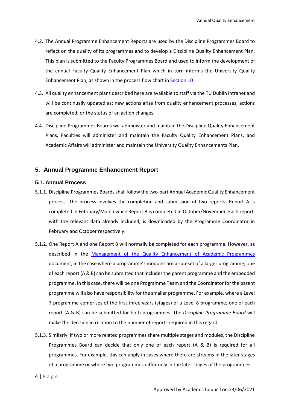- 4.2. The Annual Programme Enhancement Reports are used by the Discipline Programmes Board to reflect on the quality of its programmes and to develop a Discipline Quality Enhancement Plan. This plan is submitted to the Faculty Programmes Board and used to inform the development of the annual Faculty Quality Enhancement Plan which in turn informs the University Quality Enhancement Plan, as shown in the process flow chart i[n Section 10.](#page-10-0)
- 4.3. All quality enhancement plans described here are available to staff via the TU Dublin intranet and will be continually updated as: new actions arise from quality enhancement processes; actions are completed; or the status of an action changes.
- 4.4. Discipline Programmes Boards will administer and maintain the Discipline Quality Enhancement Plans, Faculties will administer and maintain the Faculty Quality Enhancement Plans, and Academic Affairs will administer and maintain the University Quality Enhancements Plan.

#### <span id="page-4-0"></span>**5. Annual Programme Enhancement Report**

#### **5.1. Annual Process**

- 5.1.1. Discipline Programmes Boards shall follow the two-part Annual Academic Quality Enhancement process. The process involves the completion and submission of two reports: Report A is completed in February/March while Report B is completed in October/November. Each report, with the relevant data already included, is downloaded by the Programme Coordinator in February and October respectively.
- 5.1.2. One Report A and one Report B will normally be completed for each programme. However, as described in the Management of the Quality Enhancement of Academic Programmes document, in the case where a programme's modules are a sub-set of a larger programme, one of each report (A & B) can be submitted that includes the parent programme and the embedded programme. In this case, there will be one Programme Team and the Coordinator for the parent programme will also have responsibility for the smaller programme. For example, where a Level 7 programme comprises of the first three years (stages) of a Level 8 programme, one of each report (A & B) can be submitted for both programmes. The *Discipline Programme Board* will make the decision in relation to the number of reports required in this regard.
- 5.1.3. Similarly, if two or more related programmes share multiple stages and modules, the Discipline Programmes Board can decide that only one of each report (A & B) is required for all programmes. For example, this can apply in cases where there are streams in the later stages of a programme or where two programmes differ only in the later stages of the programmes.

**4 |** Page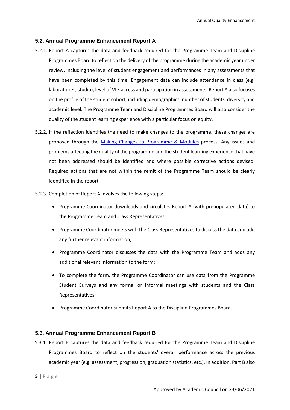#### **5.2. Annual Programme Enhancement Report A**

- 5.2.1. Report A captures the data and feedback required for the Programme Team and Discipline Programmes Board to reflect on the delivery of the programme during the academic year under review, including the level of student engagement and performances in any assessments that have been completed by this time. Engagement data can include attendance in class (e.g. laboratories, studio), level of VLE access and participation in assessments. Report A also focuses on the profile of the student cohort, including demographics, number of students, diversity and academic level. The Programme Team and Discipline Programmes Board will also consider the quality of the student learning experience with a particular focus on equity.
- 5.2.2. If the reflection identifies the need to make changes to the programme, these changes are proposed through the Making Changes to Programme & Modules process. Any issues and problems affecting the quality of the programme and the student learning experience that have not been addressed should be identified and where possible corrective actions devised. Required actions that are not within the remit of the Programme Team should be clearly identified in the report.
- 5.2.3. Completion of Report A involves the following steps:
	- Programme Coordinator downloads and circulates Report A (with prepopulated data) to the Programme Team and Class Representatives;
	- Programme Coordinator meets with the Class Representatives to discuss the data and add any further relevant information;
	- Programme Coordinator discusses the data with the Programme Team and adds any additional relevant information to the form;
	- To complete the form, the Programme Coordinator can use data from the Programme Student Surveys and any formal or informal meetings with students and the Class Representatives;
	- Programme Coordinator submits Report A to the Discipline Programmes Board.

#### **5.3. Annual Programme Enhancement Report B**

- 5.3.1 Report B captures the data and feedback required for the Programme Team and Discipline Programmes Board to reflect on the students' overall performance across the previous academic year (e.g. assessment, progression, graduation statistics, etc.). In addition, Part B also
- **5 |** Page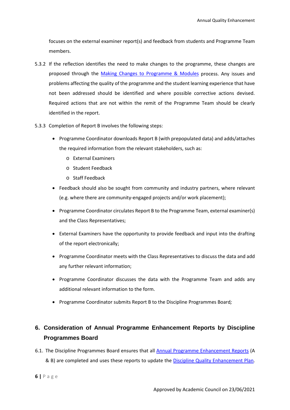focuses on the external examiner report(s) and feedback from students and Programme Team members.

- 5.3.2 If the reflection identifies the need to make changes to the programme, these changes are proposed through the Making Changes to Programme & Modules process. Any issues and problems affecting the quality of the programme and the student learning experience that have not been addressed should be identified and where possible corrective actions devised. Required actions that are not within the remit of the Programme Team should be clearly identified in the report.
- 5.3.3 Completion of Report B involves the following steps:
	- Programme Coordinator downloads Report B (with prepopulated data) and adds/attaches the required information from the relevant stakeholders, such as:
		- o External Examiners
		- o Student Feedback
		- o Staff Feedback
	- Feedback should also be sought from community and industry partners, where relevant (e.g. where there are community-engaged projects and/or work placement);
	- Programme Coordinator circulates Report B to the Programme Team, external examiner(s) and the Class Representatives;
	- External Examiners have the opportunity to provide feedback and input into the drafting of the report electronically;
	- Programme Coordinator meets with the Class Representatives to discuss the data and add any further relevant information;
	- Programme Coordinator discusses the data with the Programme Team and adds any additional relevant information to the form.
	- Programme Coordinator submits Report B to the Discipline Programmes Board*;*

# <span id="page-6-0"></span>**6. Consideration of Annual Programme Enhancement Reports by Discipline Programmes Board**

6.1. The Discipline Programmes Board ensures that all Annual Programme Enhancement Reports (A & B) are completed and uses these reports to update the Discipline Quality Enhancement Plan.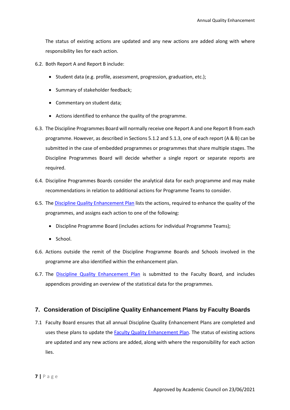The status of existing actions are updated and any new actions are added along with where responsibility lies for each action.

6.2. Both Report A and Report B include:

- Student data (e.g. profile, assessment, progression, graduation, etc.);
- Summary of stakeholder feedback;
- Commentary on student data;
- Actions identified to enhance the quality of the programme.
- 6.3. The Discipline Programmes Board will normally receive one Report A and one Report B from each programme. However, as described in Sections 5.1.2 and 5.1.3, one of each report (A & B) can be submitted in the case of embedded programmes or programmes that share multiple stages. The Discipline Programmes Board will decide whether a single report or separate reports are required.
- 6.4. Discipline Programmes Boards consider the analytical data for each programme and may make recommendations in relation to additional actions for Programme Teams to consider.
- 6.5. The Discipline Quality Enhancement Plan lists the actions, required to enhance the quality of the programmes, and assigns each action to one of the following:
	- Discipline Programme Board (includes actions for individual Programme Teams);
	- School.
- 6.6. Actions outside the remit of the Discipline Programme Boards and Schools involved in the programme are also identified within the enhancement plan.
- 6.7. The Discipline Quality Enhancement Plan is submitted to the Faculty Board, and includes appendices providing an overview of the statistical data for the programmes.

# <span id="page-7-0"></span>**7. Consideration of Discipline Quality Enhancement Plans by Faculty Boards**

7.1 Faculty Board ensures that all annual Discipline Quality Enhancement Plans are completed and uses these plans to update the **Faculty Quality Enhancement Plan**. The status of existing actions are updated and any new actions are added, along with where the responsibility for each action lies.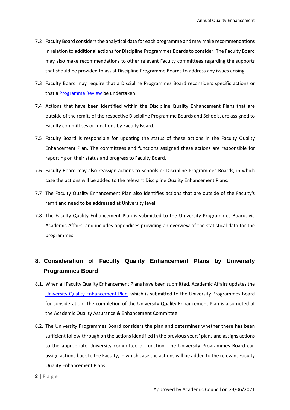- 7.2 Faculty Board considers the analytical data for each programme and may make recommendations in relation to additional actions for Discipline Programmes Boards to consider. The Faculty Board may also make recommendations to other relevant Faculty committees regarding the supports that should be provided to assist Discipline Programme Boards to address any issues arising.
- 7.3 Faculty Board may require that a Discipline Programmes Board reconsiders specific actions or that a Programme Review be undertaken.
- 7.4 Actions that have been identified within the Discipline Quality Enhancement Plans that are outside of the remits of the respective Discipline Programme Boards and Schools, are assigned to Faculty committees or functions by Faculty Board.
- 7.5 Faculty Board is responsible for updating the status of these actions in the Faculty Quality Enhancement Plan. The committees and functions assigned these actions are responsible for reporting on their status and progress to Faculty Board.
- 7.6 Faculty Board may also reassign actions to Schools or Discipline Programmes Boards, in which case the actions will be added to the relevant Discipline Quality Enhancement Plans.
- 7.7 The Faculty Quality Enhancement Plan also identifies actions that are outside of the Faculty's remit and need to be addressed at University level.
- 7.8 The Faculty Quality Enhancement Plan is submitted to the University Programmes Board, via Academic Affairs, and includes appendices providing an overview of the statistical data for the programmes.

# <span id="page-8-0"></span>**8. Consideration of Faculty Quality Enhancement Plans by University Programmes Board**

- 8.1. When all Faculty Quality Enhancement Plans have been submitted, Academic Affairs updates the University Quality Enhancement Plan, which is submitted to the University Programmes Board for consideration. The completion of the University Quality Enhancement Plan is also noted at the Academic Quality Assurance & Enhancement Committee.
- 8.2. The University Programmes Board considers the plan and determines whether there has been sufficient follow-through on the actions identified in the previous years' plans and assigns actions to the appropriate University committee or function. The University Programmes Board can assign actions back to the Faculty, in which case the actions will be added to the relevant Faculty Quality Enhancement Plans.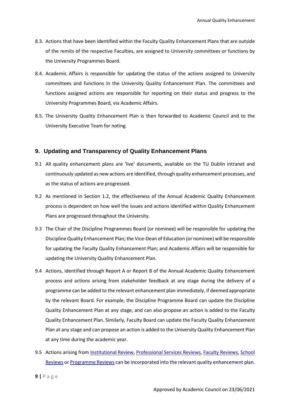- 8.3. Actions that have been identified within the Faculty Quality Enhancement Plans that are outside of the remits of the respective Faculties, are assigned to University committees or functions by the University Programmes Board.
- 8.4. Academic Affairs is responsible for updating the status of the actions assigned to University committees and functions in the University Quality Enhancement Plan. The committees and functions assigned actions are responsible for reporting on their status and progress to the University Programmes Board, via Academic Affairs.
- 8.5. The University Quality Enhancement Plan is then forwarded to Academic Council and to the University Executive Team for noting.

# <span id="page-9-0"></span>**9. Updating and Transparency of Quality Enhancement Plans**

- 9.1 All quality enhancement plans are 'live' documents, available on the TU Dublin intranet and continuously updated as new actions are identified, through quality enhancement processes, and as the status of actions are progressed.
- 9.2 As mentioned in Section 1.2, the effectiveness of the Annual Academic Quality Enhancement process is dependent on how well the issues and actions identified within Quality Enhancement Plans are progressed throughout the University.
- 9.3 The Chair of the Discipline Programmes Board (or nominee) will be responsible for updating the Discipline Quality Enhancement Plan; the Vice-Dean of Education (or nominee) will be responsible for updating the Faculty Quality Enhancement Plan; and Academic Affairs will be responsible for updating the University Quality Enhancement Plan.
- 9.4 Actions, identified through Report A or Report B of the Annual Academic Quality Enhancement process and actions arising from stakeholder feedback at any stage during the delivery of a programme can be added to the relevant enhancement plan immediately, if deemed appropriate by the relevant Board. For example, the Discipline Programme Board can update the Discipline Quality Enhancement Plan at any stage, and can also propose an action is added to the Faculty Quality Enhancement Plan. Similarly, Faculty Board can update the Faculty Quality Enhancement Plan at any stage and can propose an action is added to the University Quality Enhancement Plan at any time during the academic year.
- 9.5 Actions arising from Institutional Review, Professional Services Reviews, Faculty Reviews, School Reviews or Programme Reviews can be incorporated into the relevant quality enhancement plan.
- **9 |** Page